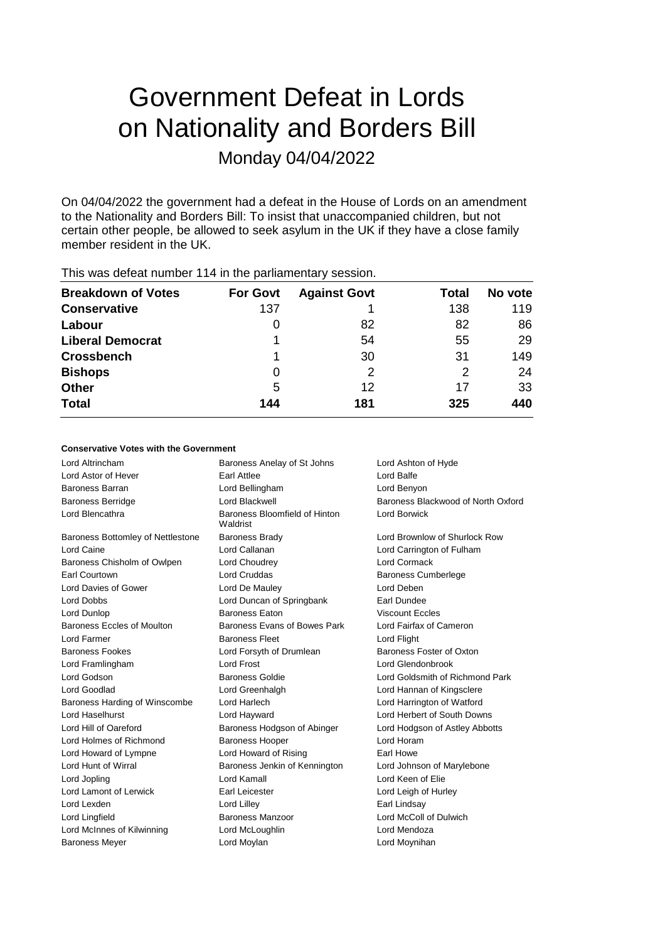# Government Defeat in Lords on Nationality and Borders Bill Monday 04/04/2022

On 04/04/2022 the government had a defeat in the House of Lords on an amendment to the Nationality and Borders Bill: To insist that unaccompanied children, but not certain other people, be allowed to seek asylum in the UK if they have a close family member resident in the UK.

| <b>Breakdown of Votes</b> | <b>For Govt</b> | <b>Against Govt</b> | Total | No vote |
|---------------------------|-----------------|---------------------|-------|---------|
| <b>Conservative</b>       | 137             |                     | 138   | 119     |
| Labour                    | 0               | 82                  | 82    | 86      |
| <b>Liberal Democrat</b>   |                 | 54                  | 55    | 29      |
| <b>Crossbench</b>         |                 | 30                  | 31    | 149     |
| <b>Bishops</b>            | 0               | 2                   | 2     | 24      |
| <b>Other</b>              | 5               | 12                  | 17    | 33      |
| <b>Total</b>              | 144             | 181                 | 325   | 440     |
|                           |                 |                     |       |         |

This was defeat number 114 in the parliamentary session.

### **Conservative Votes with the Government**

| Lord Altrincham                   | Baroness Anelay of St Johns               | Lord Ashton of Hyde                |
|-----------------------------------|-------------------------------------------|------------------------------------|
| Lord Astor of Hever               | Earl Attlee                               | I ord Balfe                        |
| Baroness Barran                   | Lord Bellingham                           | Lord Benyon                        |
| <b>Baroness Berridge</b>          | Lord Blackwell                            | Baroness Blackwood of North Oxford |
| Lord Blencathra                   | Baroness Bloomfield of Hinton<br>Waldrist | <b>Lord Borwick</b>                |
| Baroness Bottomley of Nettlestone | <b>Baroness Brady</b>                     | Lord Brownlow of Shurlock Row      |
| Lord Caine                        | Lord Callanan                             | Lord Carrington of Fulham          |
| Baroness Chisholm of Owlpen       | Lord Choudrey                             | Lord Cormack                       |
| <b>Earl Courtown</b>              | <b>Lord Cruddas</b>                       | <b>Baroness Cumberlege</b>         |
| Lord Davies of Gower              | Lord De Mauley                            | Lord Deben                         |
| Lord Dobbs                        | Lord Duncan of Springbank                 | Earl Dundee                        |
| Lord Dunlop                       | <b>Baroness Eaton</b>                     | <b>Viscount Eccles</b>             |
| Baroness Eccles of Moulton        | Baroness Evans of Bowes Park              | Lord Fairfax of Cameron            |
| Lord Farmer                       | <b>Baroness Fleet</b>                     | Lord Flight                        |
| <b>Baroness Fookes</b>            | Lord Forsyth of Drumlean                  | Baroness Foster of Oxton           |
| Lord Framlingham                  | Lord Frost                                | Lord Glendonbrook                  |
| Lord Godson                       | Baroness Goldie                           | Lord Goldsmith of Richmond Park    |
| Lord Goodlad                      | Lord Greenhalgh                           | Lord Hannan of Kingsclere          |
| Baroness Harding of Winscombe     | Lord Harlech                              | Lord Harrington of Watford         |
| Lord Haselhurst                   | Lord Hayward                              | Lord Herbert of South Downs        |
| Lord Hill of Oareford             | Baroness Hodgson of Abinger               | Lord Hodgson of Astley Abbotts     |
| Lord Holmes of Richmond           | <b>Baroness Hooper</b>                    | Lord Horam                         |
| Lord Howard of Lympne             | Lord Howard of Rising                     | Earl Howe                          |
| Lord Hunt of Wirral               | Baroness Jenkin of Kennington             | Lord Johnson of Marylebone         |
| Lord Jopling                      | Lord Kamall                               | Lord Keen of Elie                  |
| Lord Lamont of Lerwick            | Earl Leicester                            | Lord Leigh of Hurley               |
| Lord Lexden                       | Lord Lilley                               | Earl Lindsay                       |
| Lord Lingfield                    | Baroness Manzoor                          | Lord McColl of Dulwich             |
| Lord McInnes of Kilwinning        | Lord McLoughlin                           | Lord Mendoza                       |
| <b>Baroness Meyer</b>             | Lord Moylan                               | Lord Moynihan                      |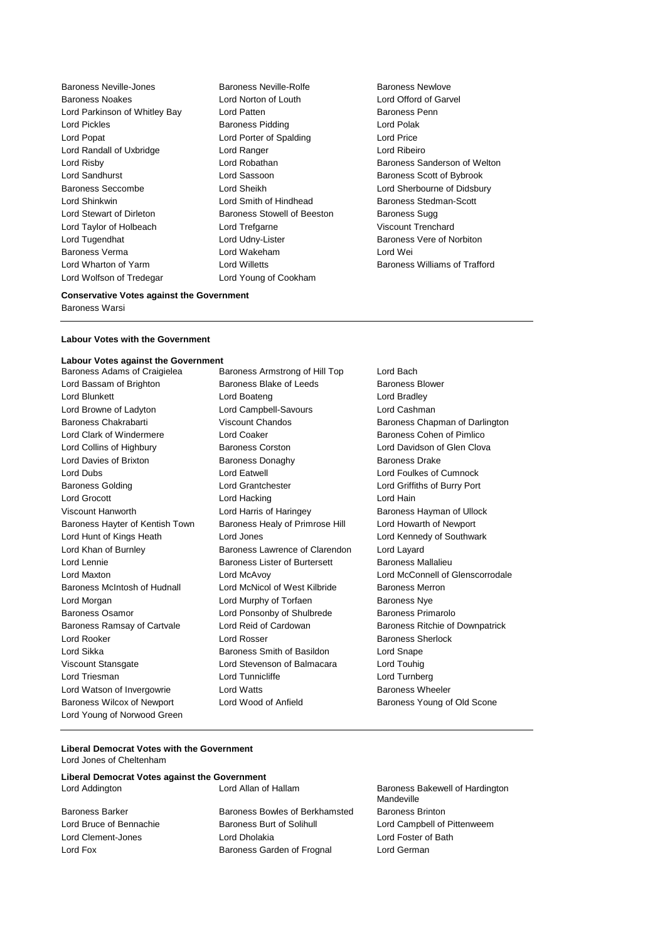Baroness Neville-Jones Baroness Neville-Rolfe Baroness Newlove Baroness Noakes Lord Norton of Louth Lord Offord of Garvel Lord Parkinson of Whitley Bay Lord Patten **Baroness Penn** Lord Pickles **Baroness Pidding Lord Polak** Lord Polak Lord Popat **Lord Porter of Spalding Lord Price** Lord Randall of Uxbridge Lord Ranger Lord Ribeiro Lord Risby **Lord Robathan** Baroness Sanderson of Welton **Baroness** Sanderson of Welton Lord Sandhurst **Lord Sassoon** Baroness Scott of Bybrook Baroness Seccombe Lord Sheikh Lord Sherbourne of Didsbury Lord Shinkwin **Lord Smith of Hindhead** Baroness Stedman-Scott Lord Stewart of Dirleton **Baroness Stowell of Beeston** Baroness Sugg Lord Taylor of Holbeach Lord Trefgarne Viscount Trenchard Lord Tugendhat Lord Udny-Lister Baroness Vere of Norbiton Baroness Verma Lord Wakeham Lord Wei Lord Wharton of Yarm **Lord Willetts** Baroness Williams of Trafford **Lord Williams** Corresponding to the Baroness Williams of Trafford Lord Wolfson of Tredegar Lord Young of Cookham

### **Conservative Votes against the Government**

Baroness Warsi

### **Labour Votes with the Government**

## **Labour Votes against the Government**

Lord Bassam of Brighton **Baroness Blake of Leeds** Baroness Blower Lord Blunkett **Lord Boateng** Lord Boateng Lord Bradley Lord Browne of Ladyton Lord Campbell-Savours Lord Cashman Baroness Chakrabarti Viscount Chandos Baroness Chapman of Darlington Lord Clark of Windermere **Lord Coaker Lord Coaker Baroness Cohen of Pimlico** Lord Collins of Highbury **Baroness Corston** Corston Lord Davidson of Glen Clova Lord Davies of Brixton Baroness Donaghy Baroness Drake Lord Dubs Lord Eatwell Lord Foulkes of Cumnock Baroness Golding Lord Grantchester Lord Griffiths of Burry Port Lord Grocott **Lord Hacking Lord Hain** Viscount Hanworth Lord Harris of Haringey Baroness Hayman of Ullock Baroness Hayter of Kentish Town Baroness Healy of Primrose Hill Lord Howarth of Newport Lord Hunt of Kings Heath Lord Jones Lord Kennedy of Southwark Lord Khan of Burnley Baroness Lawrence of Clarendon Lord Layard Lord Lennie **Baroness Lister of Burtersett** Baroness Mallalieu Baroness McIntosh of Hudnall Lord McNicol of West Kilbride Baroness Merron Lord Morgan Lord Murphy of Torfaen Baroness Nye Baroness Osamor Lord Ponsonby of Shulbrede Baroness Primarolo Baroness Ramsay of Cartvale Lord Reid of Cardowan Baroness Ritchie of Downpatrick Lord Rooker Lord Rosser Baroness Sherlock Lord Sikka Baroness Smith of Basildon Lord Snape Viscount Stansgate Lord Stevenson of Balmacara Lord Touhig Lord Triesman **Lord Tunnicliffe** Lord Tunnicliffe Lord Turnberg Lord Watson of Invergowrie **Lord Watts Conducts** Baroness Wheeler Baroness Wilcox of Newport Lord Wood of Anfield Baroness Young of Old Scone Lord Young of Norwood Green

Baroness Armstrong of Hill Top Lord Bach

Lord Maxton Lord McAvoy Lord McConnell of Glenscorrodale

### **Liberal Democrat Votes with the Government** Lord Jones of Cheltenham

**Liberal Democrat Votes against the Government** Lord Addington **Lord Allan of Hallam** Baroness Bakewell of Hardington

Baroness Barker Baroness Bowles of Berkhamsted Baroness Brinton Lord Bruce of Bennachie **Baroness Burt of Solihull** Lord Campbell of Pittenweem Lord Clement-Jones Lord Dholakia Lord Foster of Bath Lord Fox Baroness Garden of Frognal Lord German

Mandeville